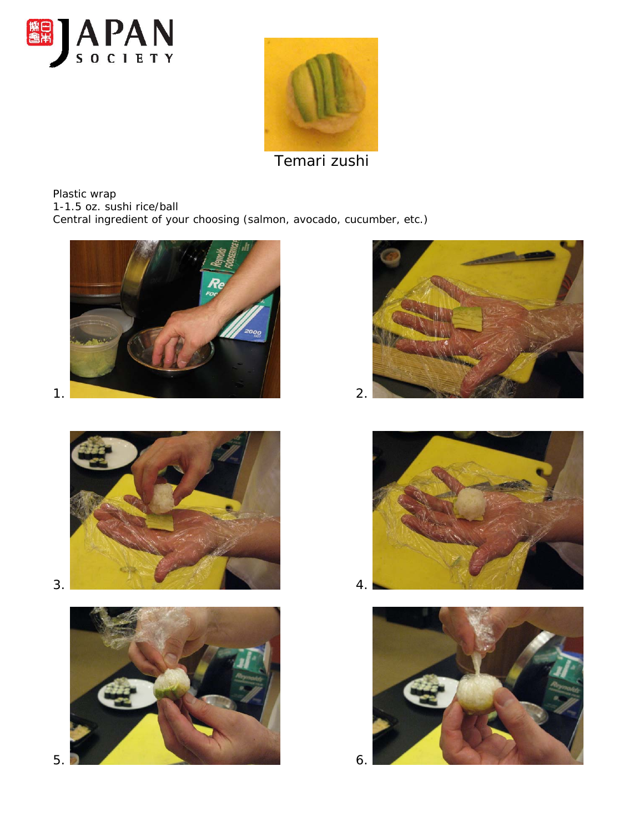



Temari zushi

Plastic wrap 1-1.5 oz. sushi rice/ball Central ingredient of your choosing (salmon, avocado, cucumber, etc.)













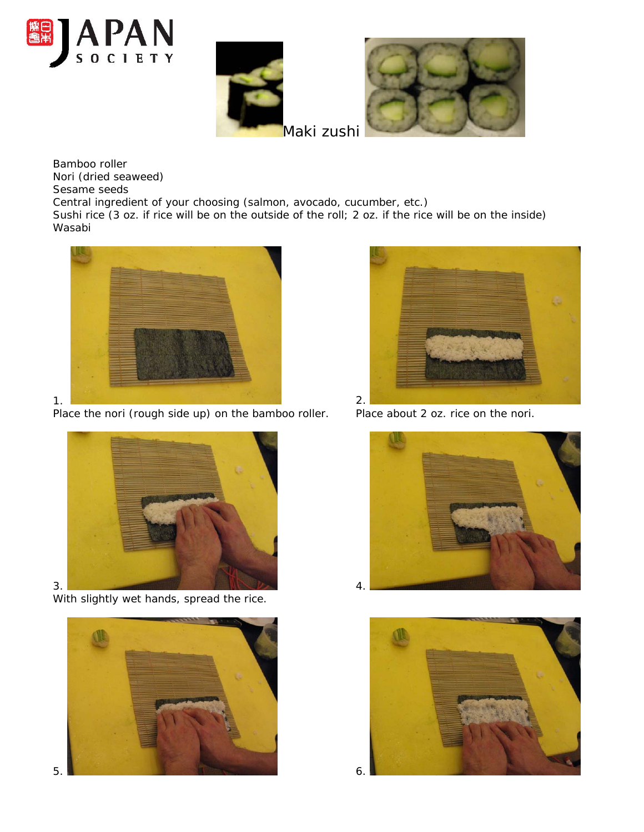





Maki zushi

Bamboo roller Nori (dried seaweed) Sesame seeds

Central ingredient of your choosing (salmon, avocado, cucumber, etc.)

Sushi rice (3 oz. if rice will be on the outside of the roll; 2 oz. if the rice will be on the inside) Wasabi



Place the nori (rough side up) on the bamboo roller. Place about 2 oz. rice on the nori.



With slightly wet hands, spread the rice.







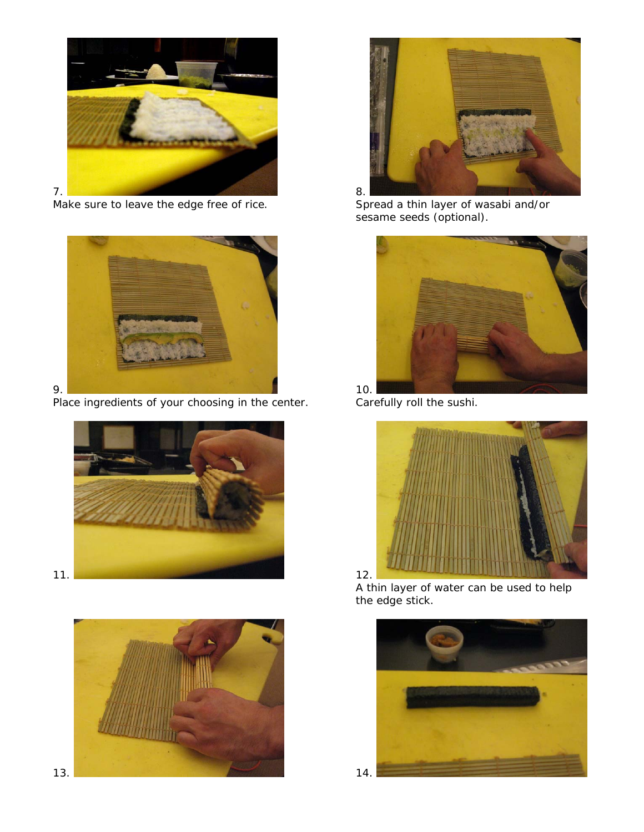

Make sure to leave the edge free of rice.



Place ingredients of your choosing in the center. Carefully roll the sushi.







Spread a thin layer of wasabi and/or sesame seeds (optional).





A thin layer of water can be used to help the edge stick.

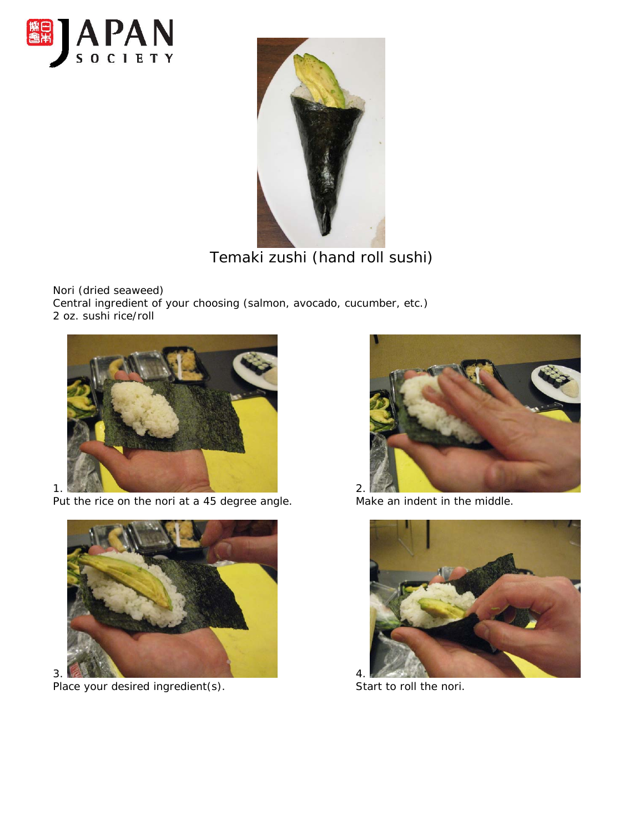



Temaki zushi (hand roll sushi)

Nori (dried seaweed) Central ingredient of your choosing (salmon, avocado, cucumber, etc.) 2 oz. sushi rice/roll



Put the rice on the nori at a 45 degree angle. Make an indent in the middle.



Place your desired ingredient(s). Start to roll the nori.



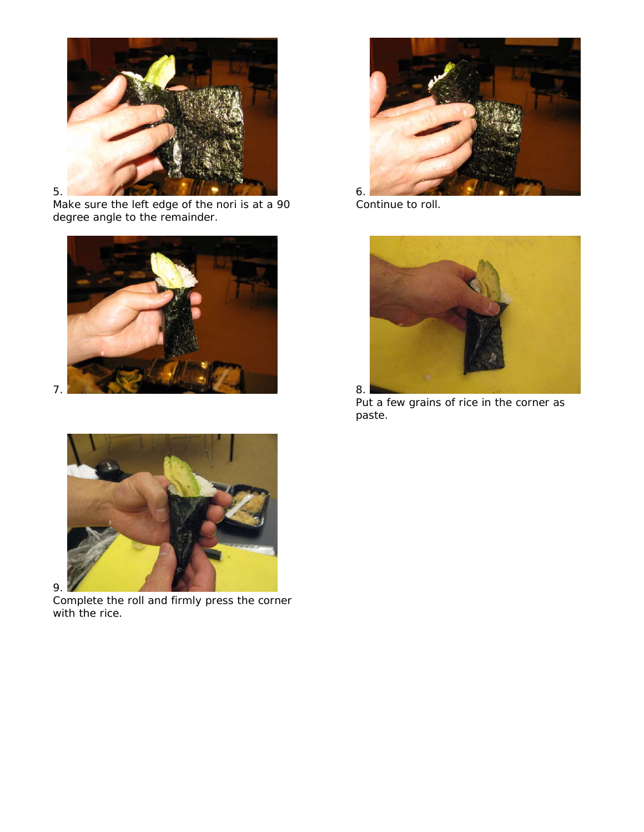

Make sure the left edge of the nori is at a 90 Continue to roll. degree angle to the remainder.



9.

Complete the roll and firmly press the corner with the rice.





Put a few grains of rice in the corner as paste.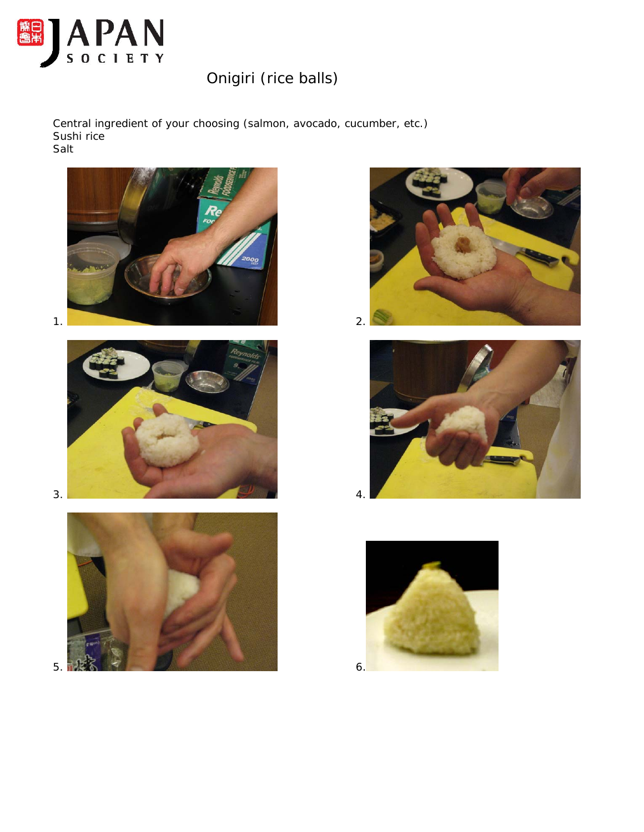

## Onigiri (rice balls)

Central ingredient of your choosing (salmon, avocado, cucumber, etc.) Sushi rice Salt